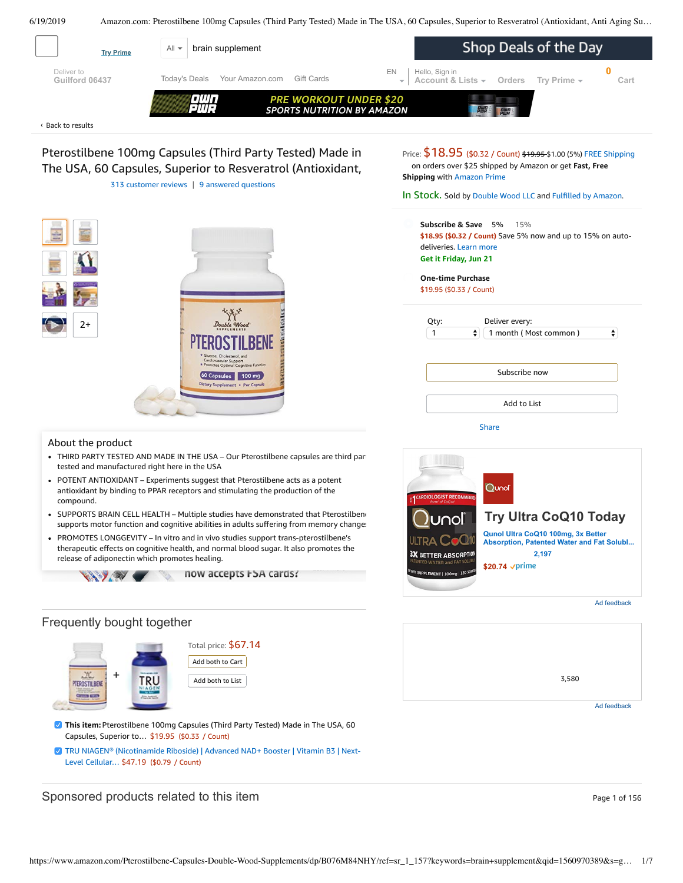<span id="page-0-0"></span>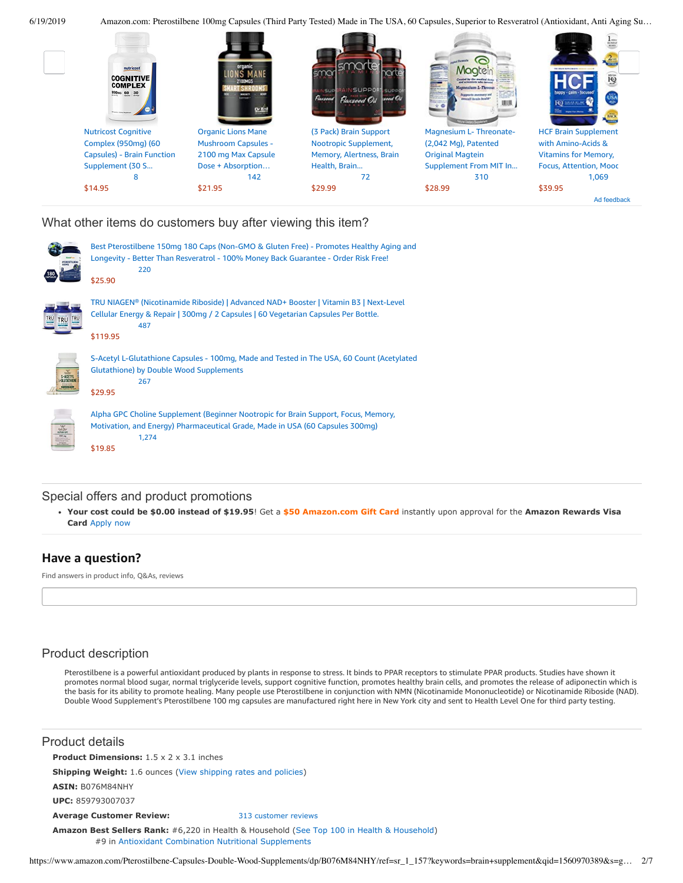

繑

6/19/2019 Amazon.com: Pterostilbene 100mg Capsules (Third Party Tested) Made in The USA, 60 Capsules, Superior to Resveratrol (Antioxidant, Anti Aging Su…



What other items do customers buy after viewing this item?

| Best Pterostilbene 150mg 180 Caps (Non-GMO & Gluten Free) - Promotes Healthy Aging and<br>Longevity - Better Than Resveratrol - 100% Money Back Guarantee - Order Risk Free!<br>220<br>\$25.90 |
|------------------------------------------------------------------------------------------------------------------------------------------------------------------------------------------------|
| TRU NIAGEN® (Nicotinamide Riboside)   Advanced NAD+ Booster   Vitamin B3   Next-Level<br>Cellular Energy & Repair   300mg / 2 Capsules   60 Vegetarian Capsules Per Bottle.<br>487<br>\$119.95 |
| S-Acetyl L-Glutathione Capsules - 100mg, Made and Tested in The USA, 60 Count (Acetylated<br><b>Glutathione) by Double Wood Supplements</b><br>267<br>\$29.95                                  |
| Alpha GPC Choline Supplement (Beginner Nootropic for Brain Support, Focus, Memory,<br>Motivation, and Energy) Pharmaceutical Grade, Made in USA (60 Capsules 300mg)<br>1,274<br>\$19.85        |

# Special offers and product promotions

**[Your cost could be \\$0.00 instead of \\$19.95](https://www.amazon.com/gp/cobrandcard/marketing.html?pr=con321&inc=50gcUnrec&ts=dhv55tvsxk3skku5od34ceclhm5pwk4&dasin=B076M84NHY&plattr=math&place=detailpage&imp=dabd2411-f326-41d1-be13-456767c278ea)**! Get a **\$50 Amazon.com Gift Card** instantly upon approval for the **Amazon Rewards Visa Card** Apply now

# **Have a question?**

Find answers in product info, Q&As, reviews

# Product description

Pterostilbene is a powerful antioxidant produced by plants in response to stress. It binds to PPAR receptors to stimulate PPAR products. Studies have shown it promotes normal blood sugar, normal triglyceride levels, support cognitive function, promotes healthy brain cells, and promotes the release of adiponectin which is the basis for its ability to promote healing. Many people use Pterostilbene in conjunction with NMN (Nicotinamide Mononucleotide) or Nicotinamide Riboside (NAD). Double Wood Supplement's Pterostilbene 100 mg capsules are manufactured right here in New York city and sent to Health Level One for third party testing.

| Product details                                                                                                                                            |                      |  |  |  |  |  |
|------------------------------------------------------------------------------------------------------------------------------------------------------------|----------------------|--|--|--|--|--|
| <b>Product Dimensions:</b> $1.5 \times 2 \times 3.1$ inches                                                                                                |                      |  |  |  |  |  |
| <b>Shipping Weight:</b> 1.6 ounces (View shipping rates and policies)                                                                                      |                      |  |  |  |  |  |
| <b>ASIN: B076M84NHY</b>                                                                                                                                    |                      |  |  |  |  |  |
| UPC: 859793007037                                                                                                                                          |                      |  |  |  |  |  |
| <b>Average Customer Review:</b>                                                                                                                            | 313 customer reviews |  |  |  |  |  |
| <b>Amazon Best Sellers Rank:</b> #6,220 in Health & Household (See Top 100 in Health & Household)<br>#9 in Antioxidant Combination Nutritional Supplements |                      |  |  |  |  |  |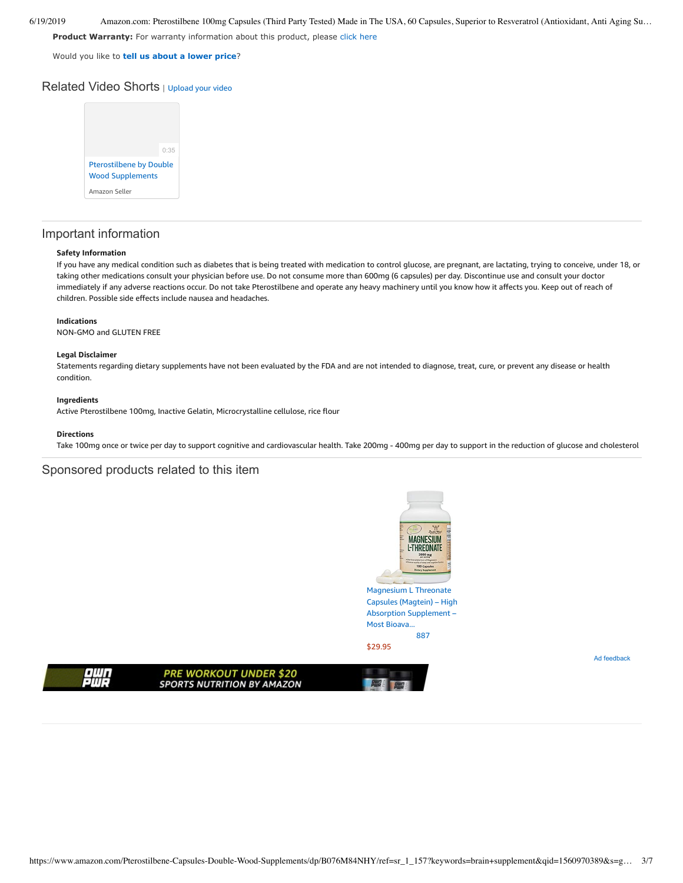6/19/2019 Amazon.com: Pterostilbene 100mg Capsules (Third Party Tested) Made in The USA, 60 Capsules, Superior to Resveratrol (Antioxidant, Anti Aging Su…

**Product Warranty:** For warranty information about this product, please [click here](https://www.amazon.com/gp/feature.html/ref=dp_warranty_request_3P?ie=UTF8&docId=1002406021)

Would you like to **tell us about a lower price**?

# Related Video Shorts | [Upload](https://www.amazon.com/creatorhub/video/upload?productASIN=B076M84NHY&referringURL=ZHAvQjA3Nk04NE5IWQ%3D%3D&ref=RVSW) your video



# Important information

## **Safety Information**

If you have any medical condition such as diabetes that is being treated with medication to control glucose, are pregnant, are lactating, trying to conceive, under 18, or taking other medications consult your physician before use. Do not consume more than 600mg (6 capsules) per day. Discontinue use and consult your doctor immediately if any adverse reactions occur. Do not take Pterostilbene and operate any heavy machinery until you know how it affects you. Keep out of reach of children. Possible side effects include nausea and headaches.

## **Indications**

NON-GMO and GLUTEN FREE

#### **Legal Disclaimer**

Statements regarding dietary supplements have not been evaluated by the FDA and are not intended to diagnose, treat, cure, or prevent any disease or health condition.

## **Ingredients**

Active Pterostilbene 100mg, Inactive Gelatin, Microcrystalline cellulose, rice flour

## **Directions**

Take 100mg once or twice per day to support cognitive and cardiovascular health. Take 200mg - 400mg per day to support in the reduction of glucose and cholesterol

# Sponsored products related to this item



Magnesium L Threonate Capsules (Magtein) – High Absorption [Supplement](https://www.amazon.com/gp/slredirect/picassoRedirect.html/ref=sspa_dk_detail_0?ie=UTF8&adId=A031175830CAYKARE1KHF&qualifier=1560972564&id=5149971347137174&widgetName=sp_detail2&url=%2Fdp%2FB01M4GM9R1%2Fref%3Dsspa_dk_detail_0%3Fpsc%3D1) – Most Bioava... [887](https://www.amazon.com/gp/slredirect/picassoRedirect.html/ref=sspa_dk_detail_0?ie=UTF8&adId=A031175830CAYKARE1KHF&qualifier=1560972564&id=5149971347137174&widgetName=sp_detail2&url=%2Fdp%2FB01M4GM9R1%2Fref%3Dsspa_dk_detail_0%3Fpsc%3D1#customerReviews)

Ad feedback

\$29.95



**PRE WORKOUT UNDER \$20 SPORTS NUTRITION BY AMAZON**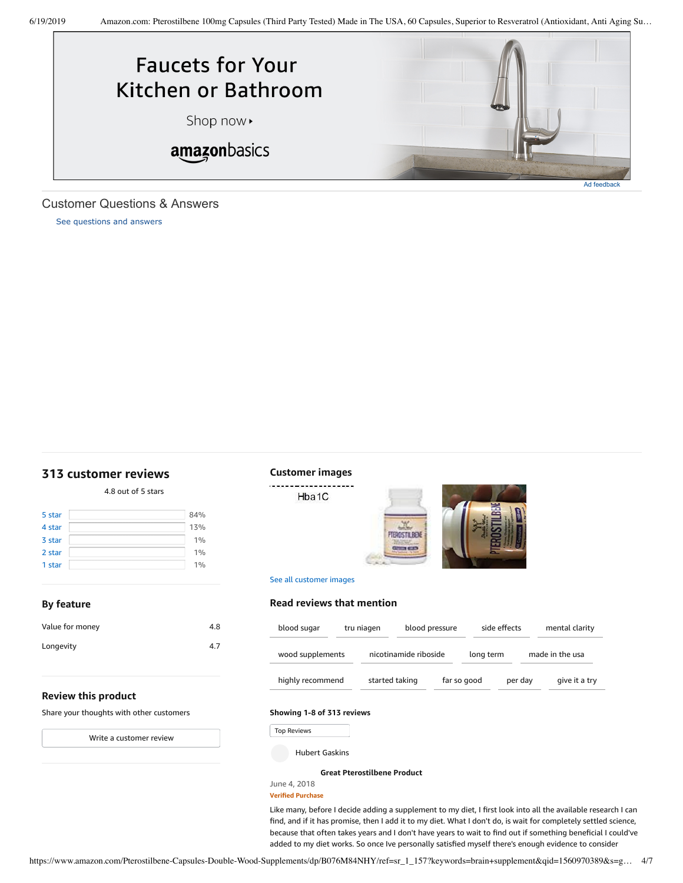

# <span id="page-3-1"></span>Customer Questions & Answers

[See questions and answers](https://www.amazon.com/ask/questions/asin/B076M84NHY/ref=cm_cd_dp_lla_ql_ll)

# <span id="page-3-0"></span>**[313 customer](https://www.amazon.com/Pterostilbene-Resveratrol-Double-Wood-Supplements/product-reviews/B076M84NHY/ref=cm_cr_dp_d_show_all_top?ie=UTF8&reviewerType=all_reviews) reviews**

4.8 out of 5 [stars](javascript:void(0))

| 5 star | 84% |
|--------|-----|
| 4 star | 13% |
| 3 star | 1%  |
| 2 star | 1%  |
| 1 star | 1%  |

# **Customer images**

Hba1C

See all customer images

**Read reviews that mention**



| Value for money | 4.8 |
|-----------------|-----|
| Longevity       | 4.7 |
|                 |     |

| blood sugar      | tru niagen |                       | blood pressure |             | side effects |         | mental clarity  |
|------------------|------------|-----------------------|----------------|-------------|--------------|---------|-----------------|
| wood supplements |            | nicotinamide riboside |                |             | long term    |         | made in the usa |
| highly recommend |            | started taking        |                | far so good |              | per day | give it a try   |

Y.

## **Review this product**

**By feature**

Share your thoughts with other customers

Write a [customer](https://www.amazon.com/review/create-review/ref=cm_cr_dp_d_wr_but_top?ie=UTF8&channel=glance-detail&asin=B076M84NHY) review

## **Showing 1-8 of 313 reviews**

Top Reviews Top Reviews

Hubert Gaskins

**Great [Pterostilbene](https://www.amazon.com/gp/customer-reviews/RNUMRHJU008OQ/ref=cm_cr_dp_d_rvw_ttl?ie=UTF8&ASIN=B076M84NHY) Product**

## June 4, 2018 **Verified Purchase**

Like many, before I decide adding a supplement to my diet, I first look into all the available research I can find, and if it has promise, then I add it to my diet. What I don't do, is wait for completely settled science, because that often takes years and I don't have years to wait to find out if something beneficial I could've added to my diet works. So once Ive personally satisfied myself there's enough evidence to consider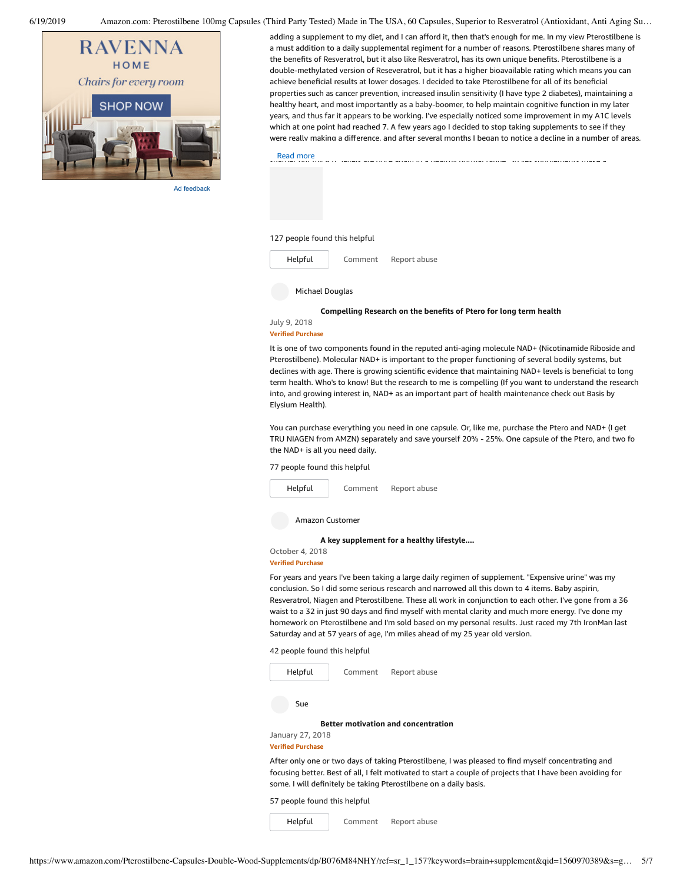6/19/2019 Amazon.com: Pterostilbene 100mg Capsules (Third Party Tested) Made in The USA, 60 Capsules, Superior to Resveratrol (Antioxidant, Anti Aging Su…



Ad feedback

adding a supplement to my diet, and I can afford it, then that's enough for me. In my view Pterostilbene is a must addition to a daily supplemental regiment for a number of reasons. Pterostilbene shares many of the benefits of Resveratrol, but it also like Resveratrol, has its own unique benefits. Pterostilbene is a double-methylated version of Reseveratrol, but it has a higher bioavailable rating which means you can achieve beneficial results at lower dosages. I decided to take Pterostilbene for all of its beneficial properties such as cancer prevention, increased insulin sensitivity (I have type 2 diabetes), maintaining a healthy heart, and most importantly as a baby-boomer, to help maintain cognitive function in my later years, and thus far it appears to be working. I've especially noticed some improvement in my A1C levels which at one point had reached 7. A few years ago I decided to stop taking supplements to see if they were really making a difference, and after several months I began to notice a decline in a number of areas

but especially in my A1C levels. So I began taking supplements again and not only do I feel mentally  $s_{1}$  and more again in a healthy normal range  $S$  yes supplements make a healthy normal range  $S$ Read [more](javascript:void(0))

## 127 people found this helpful

[Comment](https://www.amazon.com/gp/customer-reviews/RNUMRHJU008OQ/ref=cm_cr_dp_d_rvw_btm?ie=UTF8&ASIN=B076M84NHY#wasThisHelpful) [Report](https://www.amazon.com/hz/reviews-render/report-abuse?ie=UTF8&voteDomain=Reviews&ref=cm_cr_dp_d_rvw_hlp&csrfT=gn2aszewpFw7KtmAV5lJXScAeqWmays5EAbbE8UAAAABAAAAAF0KjRRyYXcAAAAA%2B4kUEk%2F7iMGR3xPcX6iU&entityId=RNUMRHJU008OQ&sessionId=143-6729050-3493109) abuse [Helpful](https://www.amazon.com/ap/signin?openid.return_to=https%3A%2F%2Fwww.amazon.com%2Fdp%2FB076M84NHY%2Fref%3Dcm_cr_dp_d_vote_lft%3Fie%3DUTF8%26voteInstanceId%3DRNUMRHJU008OQ%26voteValue%3D1%26csrfT%3Dgn2aszewpFw7KtmAV5lJXScAeqWmays5EAbbE8UAAAABAAAAAF0KjRRyYXcAAAAA%252B4kUEk%252F7iMGR3xPcX6iU%23RNUMRHJU008OQ&openid.identity=http%3A%2F%2Fspecs.openid.net%2Fauth%2F2.0%2Fidentifier_select&openid.claimed_id=http%3A%2F%2Fspecs.openid.net%2Fauth%2F2.0%2Fidentifier_select&openid.assoc_handle=usflex&openid.mode=checkid_setup&openid.ns=http%3A%2F%2Fspecs.openid.net%2Fauth%2F2.0)

## Michael Douglas

#### **[Compelling](https://www.amazon.com/gp/customer-reviews/R2AHLL4FMGHWQF/ref=cm_cr_dp_d_rvw_ttl?ie=UTF8&ASIN=B076M84NHY) Research on the benefits of Ptero for long term health**

#### July 9, 2018 **Verified Purchase**

It is one of two components found in the reputed anti-aging molecule NAD+ (Nicotinamide Riboside and Pterostilbene). Molecular NAD+ is important to the proper functioning of several bodily systems, but declines with age. There is growing scientific evidence that maintaining NAD+ levels is beneficial to long term health. Who's to know! But the research to me is compelling (If you want to understand the research into, and growing interest in, NAD+ as an important part of health maintenance check out Basis by Elysium Health).

You can purchase everything you need in one capsule. Or, like me, purchase the Ptero and NAD+ (I get TRU NIAGEN from AMZN) separately and save yourself 20% - 25%. One capsule of the Ptero, and two fo the NAD+ is all you need daily.

77 people found this helpful



**A key [supplement](https://www.amazon.com/gp/customer-reviews/R1EL396SC9DF18/ref=cm_cr_dp_d_rvw_ttl?ie=UTF8&ASIN=B076M84NHY) for a healthy lifestyle....**

## October 4, 2018 **Verified Purchase**

For years and years I've been taking a large daily regimen of supplement. "Expensive urine" was my conclusion. So I did some serious research and narrowed all this down to 4 items. Baby aspirin, Resveratrol, Niagen and Pterostilbene. These all work in conjunction to each other. I've gone from a 36 waist to a 32 in just 90 days and find myself with mental clarity and much more energy. I've done my homework on Pterostilbene and I'm sold based on my personal results. Just raced my 7th IronMan last Saturday and at 57 years of age, I'm miles ahead of my 25 year old version.

42 people found this helpful



[Comment](https://www.amazon.com/gp/customer-reviews/R2F5SM5HO7BE3S/ref=cm_cr_dp_d_rvw_btm?ie=UTF8&ASIN=B076M84NHY#wasThisHelpful) [Report](https://www.amazon.com/hz/reviews-render/report-abuse?ie=UTF8&voteDomain=Reviews&ref=cm_cr_dp_d_rvw_hlp&csrfT=gkG1PwajPVjkt3NZDjNbxqvQ%2Bfwj4InbL8QGigMAAAABAAAAAF0KjRRyYXcAAAAA%2B4kUEk%2F7iMGR3xPcX6iU&entityId=R2F5SM5HO7BE3S&sessionId=143-6729050-3493109) abuse

57 people found this helpful

[Helpful](https://www.amazon.com/ap/signin?openid.return_to=https%3A%2F%2Fwww.amazon.com%2Fdp%2FB076M84NHY%2Fref%3Dcm_cr_dp_d_vote_lft%3Fie%3DUTF8%26voteInstanceId%3DR2F5SM5HO7BE3S%26voteValue%3D1%26csrfT%3DgkG1PwajPVjkt3NZDjNbxqvQ%252Bfwj4InbL8QGigMAAAABAAAAAF0KjRRyYXcAAAAA%252B4kUEk%252F7iMGR3xPcX6iU%23R2F5SM5HO7BE3S&openid.identity=http%3A%2F%2Fspecs.openid.net%2Fauth%2F2.0%2Fidentifier_select&openid.claimed_id=http%3A%2F%2Fspecs.openid.net%2Fauth%2F2.0%2Fidentifier_select&openid.assoc_handle=usflex&openid.mode=checkid_setup&openid.ns=http%3A%2F%2Fspecs.openid.net%2Fauth%2F2.0)

https://www.amazon.com/Pterostilbene-Capsules-Double-Wood-Supplements/dp/B076M84NHY/ref=sr\_1\_157?keywords=brain+supplement&qid=1560970389&s=g… 5/7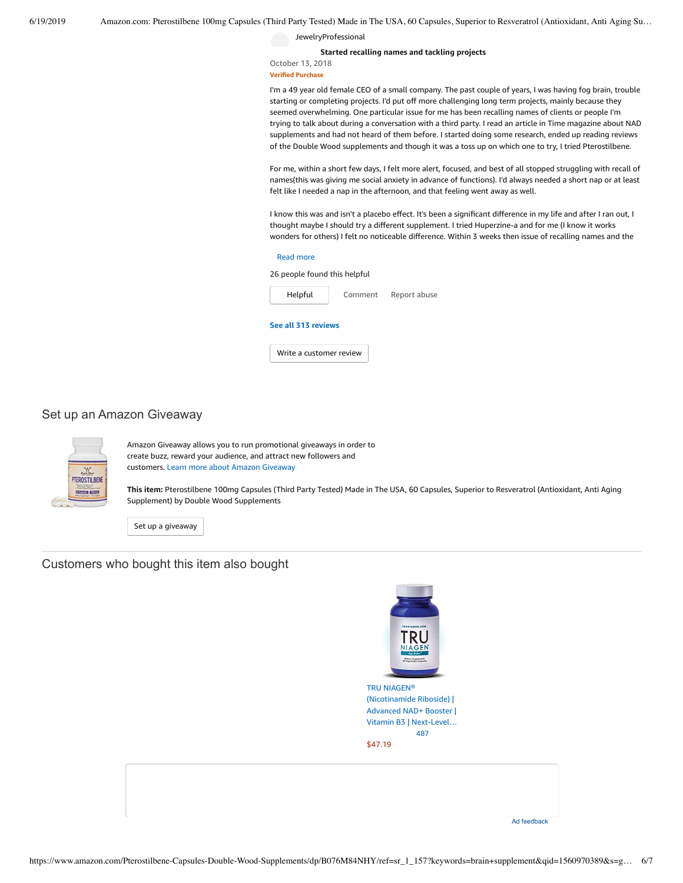JewelryProfessional

**Started [recalling](https://www.amazon.com/gp/customer-reviews/R27GJG4XT42G69/ref=cm_cr_dp_d_rvw_ttl?ie=UTF8&ASIN=B076M84NHY) names and tackling projects**

#### October 13, 2018 **Verified Purchase**

I'm a 49 year old female CEO of a small company. The past couple of years, I was having fog brain, trouble starting or completing projects. I'd put off more challenging long term projects, mainly because they seemed overwhelming. One particular issue for me has been recalling names of clients or people I'm trying to talk about during a conversation with a third party. I read an article in Time magazine about NAD supplements and had not heard of them before. I started doing some research, ended up reading reviews of the Double Wood supplements and though it was a toss up on which one to try, I tried Pterostilbene.

For me, within a short few days, I felt more alert, focused, and best of all stopped struggling with recall of names(this was giving me social anxiety in advance of functions). I'd always needed a short nap or at least felt like I needed a nap in the afternoon, and that feeling went away as well.

I know this was and isn't a placebo effect. It's been a significant difference in my life and after I ran out, I thought maybe I should try a different supplement. I tried Huperzine-a and for me (I know it works wonders for others) I felt no noticeable difference. Within 3 weeks then issue of recalling names and the

#### Read [more](javascript:void(0))

26 people found this helpful



[Comment](https://www.amazon.com/gp/customer-reviews/R27GJG4XT42G69/ref=cm_cr_dp_d_rvw_btm?ie=UTF8&ASIN=B076M84NHY#wasThisHelpful) [Report](https://www.amazon.com/hz/reviews-render/report-abuse?ie=UTF8&voteDomain=Reviews&ref=cm_cr_dp_d_rvw_hlp&csrfT=gu%2BR1U0ZQryztbDxQ9GjZ0Xp%2FTZgGCbkM%2FohfKIAAAABAAAAAF0KjRRyYXcAAAAA%2B4kUEk%2F7iMGR3xPcX6iU&entityId=R27GJG4XT42G69&sessionId=143-6729050-3493109) abuse

## **See all 313 [reviews](https://www.amazon.com/Pterostilbene-Resveratrol-Double-Wood-Supplements/product-reviews/B076M84NHY/ref=cm_cr_dp_d_show_all_btm?ie=UTF8&reviewerType=all_reviews)**

Write a [customer](https://www.amazon.com/review/create-review/ref=cm_cr_dp_d_wr_but_btm?ie=UTF8&channel=glance-detail&asin=B076M84NHY) review

# Set up an Amazon Giveaway



Amazon Giveaway allows you to run promotional giveaways in order to create buzz, reward your audience, and attract new followers and customers. Learn more about Amazon [Giveaway](https://www.amazon.com/gp/giveaway/home?ref=aga_dp_lm)

**This item:** Pterostilbene 100mg Capsules (Third Party Tested) Made in The USA, 60 Capsules, Superior to Resveratrol (Antioxidant, Anti Aging Supplement) by Double Wood Supplements

Set up a [giveaway](https://www.amazon.com/giveaway/host/setup/ref=aga_h_su_dp?_encoding=UTF8&asin=B076M84NHY)

Customers who bought this item also bought